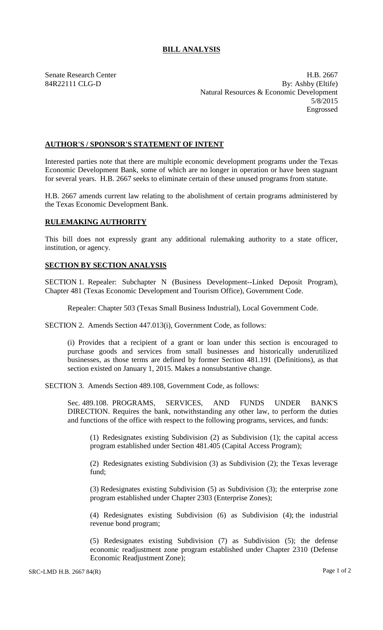## **BILL ANALYSIS**

Senate Research Center **H.B. 2667** 84R22111 CLG-D By: Ashby (Eltife) Natural Resources & Economic Development 5/8/2015 Engrossed

## **AUTHOR'S / SPONSOR'S STATEMENT OF INTENT**

Interested parties note that there are multiple economic development programs under the Texas Economic Development Bank, some of which are no longer in operation or have been stagnant for several years. H.B. 2667 seeks to eliminate certain of these unused programs from statute.

H.B. 2667 amends current law relating to the abolishment of certain programs administered by the Texas Economic Development Bank.

## **RULEMAKING AUTHORITY**

This bill does not expressly grant any additional rulemaking authority to a state officer, institution, or agency.

## **SECTION BY SECTION ANALYSIS**

SECTION 1. Repealer: Subchapter N (Business Development--Linked Deposit Program), Chapter 481 (Texas Economic Development and Tourism Office), Government Code.

Repealer: Chapter 503 (Texas Small Business Industrial), Local Government Code.

SECTION 2. Amends Section 447.013(i), Government Code, as follows:

(i) Provides that a recipient of a grant or loan under this section is encouraged to purchase goods and services from small businesses and historically underutilized businesses, as those terms are defined by former Section 481.191 (Definitions), as that section existed on January 1, 2015. Makes a nonsubstantive change.

SECTION 3. Amends Section 489.108, Government Code, as follows:

Sec. 489.108. PROGRAMS, SERVICES, AND FUNDS UNDER BANK'S DIRECTION. Requires the bank, notwithstanding any other law, to perform the duties and functions of the office with respect to the following programs, services, and funds:

(1) Redesignates existing Subdivision (2) as Subdivision (1); the capital access program established under Section 481.405 (Capital Access Program);

(2) Redesignates existing Subdivision (3) as Subdivision (2); the Texas leverage fund;

(3) Redesignates existing Subdivision (5) as Subdivision (3); the enterprise zone program established under Chapter 2303 (Enterprise Zones);

(4) Redesignates existing Subdivision (6) as Subdivision (4); the industrial revenue bond program;

(5) Redesignates existing Subdivision (7) as Subdivision (5); the defense economic readjustment zone program established under Chapter 2310 (Defense Economic Readjustment Zone);